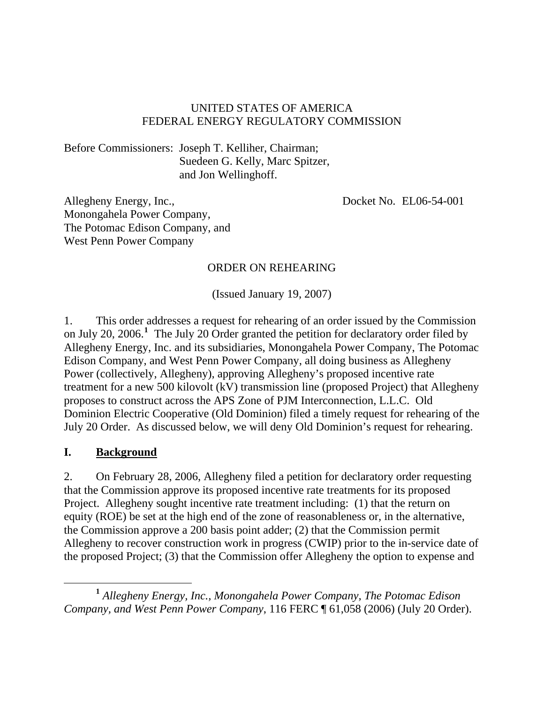## UNITED STATES OF AMERICA FEDERAL ENERGY REGULATORY COMMISSION

Before Commissioners: Joseph T. Kelliher, Chairman; Suedeen G. Kelly, Marc Spitzer, and Jon Wellinghoff.

Allegheny Energy, Inc., Monongahela Power Company, The Potomac Edison Company, and West Penn Power Company

Docket No. EL06-54-001

### ORDER ON REHEARING

(Issued January 19, 2007)

1. This order addresses a request for rehearing of an order issued by the Commission on July 20, 2006.**[1](#page-0-0)** The July 20 Order granted the petition for declaratory order filed by Allegheny Energy, Inc. and its subsidiaries, Monongahela Power Company, The Potomac Edison Company, and West Penn Power Company, all doing business as Allegheny Power (collectively, Allegheny), approving Allegheny's proposed incentive rate treatment for a new 500 kilovolt (kV) transmission line (proposed Project) that Allegheny proposes to construct across the APS Zone of PJM Interconnection, L.L.C. Old Dominion Electric Cooperative (Old Dominion) filed a timely request for rehearing of the July 20 Order. As discussed below, we will deny Old Dominion's request for rehearing.

### **I. Background**

2. On February 28, 2006, Allegheny filed a petition for declaratory order requesting that the Commission approve its proposed incentive rate treatments for its proposed Project. Allegheny sought incentive rate treatment including: (1) that the return on equity (ROE) be set at the high end of the zone of reasonableness or, in the alternative, the Commission approve a 200 basis point adder; (2) that the Commission permit Allegheny to recover construction work in progress (CWIP) prior to the in-service date of the proposed Project; (3) that the Commission offer Allegheny the option to expense and

<span id="page-0-0"></span>**<sup>1</sup>** *Allegheny Energy, Inc., Monongahela Power Company, The Potomac Edison Company, and West Penn Power Company*, 116 FERC ¶ 61,058 (2006) (July 20 Order).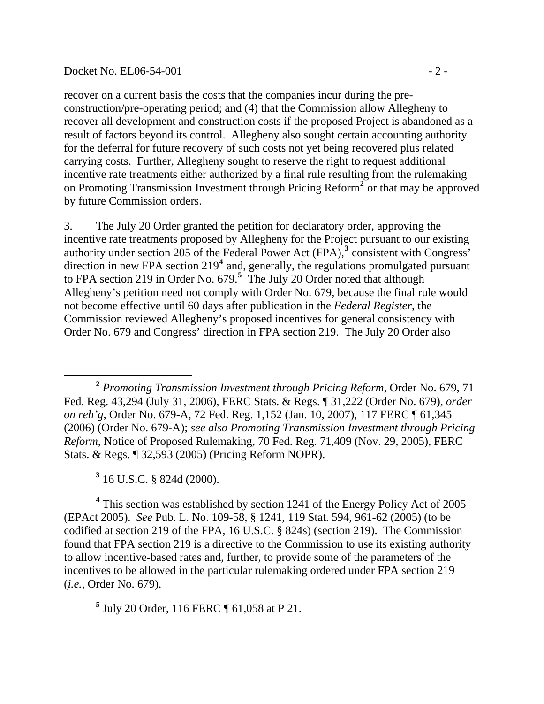### Docket No. EL06-54-001 - 2 -

recover on a current basis the costs that the companies incur during the preconstruction/pre-operating period; and (4) that the Commission allow Allegheny to recover all development and construction costs if the proposed Project is abandoned as a result of factors beyond its control. Allegheny also sought certain accounting authority for the deferral for future recovery of such costs not yet being recovered plus related carrying costs. Further, Allegheny sought to reserve the right to request additional incentive rate treatments either authorized by a final rule resulting from the rulemaking on Promoting Transmission Investment through Pricing Reform<sup>[2](#page-1-0)</sup> or that may be approved by future Commission orders.

3. The July 20 Order granted the petition for declaratory order, approving the incentive rate treatments proposed by Allegheny for the Project pursuant to our existing authority under section 205 of the Federal Power Act  $(FPA)$ ,<sup>[3](#page-1-1)</sup> consistent with Congress' direction in new FPA section 219<sup>[4](#page-1-2)</sup> and, generally, the regulations promulgated pursuant to FPA section 219 in Order No. 679.**[5](#page-1-3)** The July 20 Order noted that although Allegheny's petition need not comply with Order No. 679, because the final rule would not become effective until 60 days after publication in the *Federal Register*, the Commission reviewed Allegheny's proposed incentives for general consistency with Order No. 679 and Congress' direction in FPA section 219. The July 20 Order also

**3** 16 U.S.C. § 824d (2000).

 $\overline{a}$ 

<span id="page-1-2"></span><span id="page-1-1"></span><sup>4</sup> This section was established by section 1241 of the Energy Policy Act of 2005 (EPAct 2005). *See* Pub. L. No. 109-58, § 1241, 119 Stat. 594, 961-62 (2005) (to be codified at section 219 of the FPA, 16 U.S.C. § 824s) (section 219). The Commission found that FPA section 219 is a directive to the Commission to use its existing authority to allow incentive-based rates and, further, to provide some of the parameters of the incentives to be allowed in the particular rulemaking ordered under FPA section 219 (*i.e.*, Order No. 679).

<span id="page-1-3"></span>**5** July 20 Order, 116 FERC ¶ 61,058 at P 21.

<span id="page-1-0"></span>**<sup>2</sup>** *Promoting Transmission Investment through Pricing Reform*, Order No. 679, 71 Fed. Reg. 43,294 (July 31, 2006), FERC Stats. & Regs. ¶ 31,222 (Order No. 679), *order on reh'g*, Order No. 679-A, 72 Fed. Reg. 1,152 (Jan. 10, 2007), 117 FERC ¶ 61,345 (2006) (Order No. 679-A); *see also Promoting Transmission Investment through Pricing Reform*, Notice of Proposed Rulemaking, 70 Fed. Reg. 71,409 (Nov. 29, 2005), FERC Stats. & Regs. ¶ 32,593 (2005) (Pricing Reform NOPR).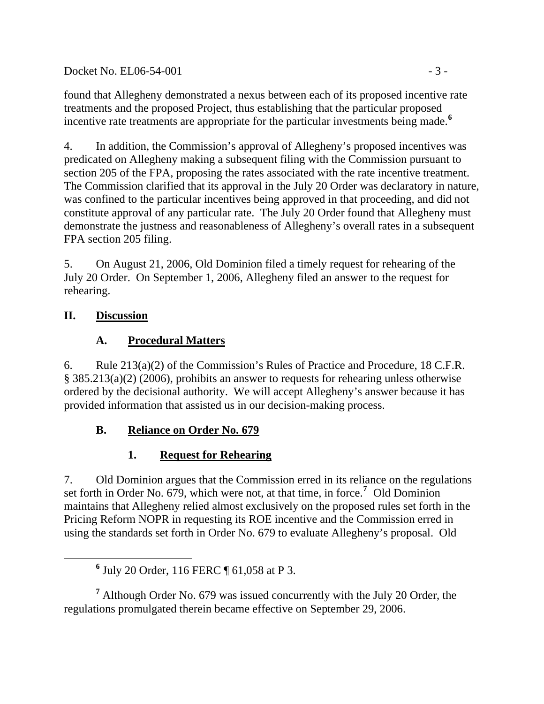$Docket No. EL06-54-001$   $-3-$ 

found that Allegheny demonstrated a nexus between each of its proposed incentive rate treatments and the proposed Project, thus establishing that the particular proposed incentive rate treatments are appropriate for the particular investments being made.**[6](#page-2-0)**

4. In addition, the Commission's approval of Allegheny's proposed incentives was predicated on Allegheny making a subsequent filing with the Commission pursuant to section 205 of the FPA, proposing the rates associated with the rate incentive treatment. The Commission clarified that its approval in the July 20 Order was declaratory in nature, was confined to the particular incentives being approved in that proceeding, and did not constitute approval of any particular rate. The July 20 Order found that Allegheny must demonstrate the justness and reasonableness of Allegheny's overall rates in a subsequent FPA section 205 filing.

5. On August 21, 2006, Old Dominion filed a timely request for rehearing of the July 20 Order. On September 1, 2006, Allegheny filed an answer to the request for rehearing.

# **II. Discussion**

# **A. Procedural Matters**

6. Rule 213(a)(2) of the Commission's Rules of Practice and Procedure, 18 C.F.R. § 385.213(a)(2) (2006), prohibits an answer to requests for rehearing unless otherwise ordered by the decisional authority. We will accept Allegheny's answer because it has provided information that assisted us in our decision-making process.

# **B. Reliance on Order No. 679**

# **1. Request for Rehearing**

7. Old Dominion argues that the Commission erred in its reliance on the regulations set forth in Order No. 679, which were not, at that time, in force.**[7](#page-2-1)** Old Dominion maintains that Allegheny relied almost exclusively on the proposed rules set forth in the Pricing Reform NOPR in requesting its ROE incentive and the Commission erred in using the standards set forth in Order No. 679 to evaluate Allegheny's proposal. Old

<span id="page-2-1"></span><sup>7</sup> Although Order No. 679 was issued concurrently with the July 20 Order, the regulations promulgated therein became effective on September 29, 2006.

<span id="page-2-0"></span>**<sup>6</sup>** July 20 Order, 116 FERC ¶ 61,058 at P 3.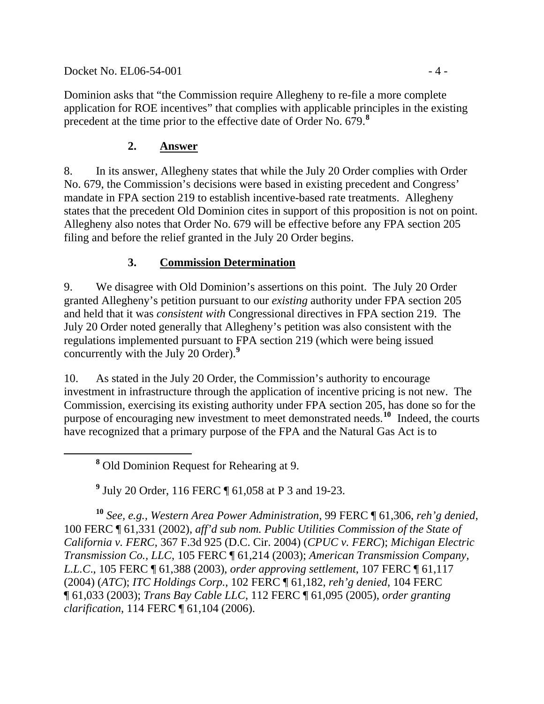Docket No. EL06-54-001 - 4 -

Dominion asks that "the Commission require Allegheny to re-file a more complete application for ROE incentives" that complies with applicable principles in the existing precedent at the time prior to the effective date of Order No. 679.**[8](#page-3-0)**

## **2. Answer**

8. In its answer, Allegheny states that while the July 20 Order complies with Order No. 679, the Commission's decisions were based in existing precedent and Congress' mandate in FPA section 219 to establish incentive-based rate treatments. Allegheny states that the precedent Old Dominion cites in support of this proposition is not on point. Allegheny also notes that Order No. 679 will be effective before any FPA section 205 filing and before the relief granted in the July 20 Order begins.

## **3. Commission Determination**

9. We disagree with Old Dominion's assertions on this point. The July 20 Order granted Allegheny's petition pursuant to our *existing* authority under FPA section 205 and held that it was *consistent with* Congressional directives in FPA section 219. The July 20 Order noted generally that Allegheny's petition was also consistent with the regulations implemented pursuant to FPA section 219 (which were being issued concurrently with the July 20 Order).**[9](#page-3-1)**

10. As stated in the July 20 Order, the Commission's authority to encourage investment in infrastructure through the application of incentive pricing is not new. The Commission, exercising its existing authority under FPA section 205, has done so for the purpose of encouraging new investment to meet demonstrated needs.**[10](#page-3-2)** Indeed, the courts have recognized that a primary purpose of the FPA and the Natural Gas Act is to

<span id="page-3-0"></span> **<sup>8</sup>** Old Dominion Request for Rehearing at 9.

**9** July 20 Order, 116 FERC ¶ 61,058 at P 3 and 19-23.

<span id="page-3-2"></span><span id="page-3-1"></span>**<sup>10</sup>** *See, e.g., Western Area Power Administration*, 99 FERC ¶ 61,306, *reh'g denied*, 100 FERC ¶ 61,331 (2002), *aff'd sub nom. Public Utilities Commission of the State of California v. FERC*, 367 F.3d 925 (D.C. Cir. 2004) (*CPUC v. FERC*); *Michigan Electric Transmission Co., LLC*, 105 FERC ¶ 61,214 (2003); *American Transmission Company, L.L.C*., 105 FERC ¶ 61,388 (2003), *order approving settlement*, 107 FERC ¶ 61,117 (2004) (*ATC*); *ITC Holdings Corp.*, 102 FERC ¶ 61,182, *reh'g denied*, 104 FERC ¶ 61,033 (2003); *Trans Bay Cable LLC*, 112 FERC ¶ 61,095 (2005), *order granting clarification*, 114 FERC ¶ 61,104 (2006).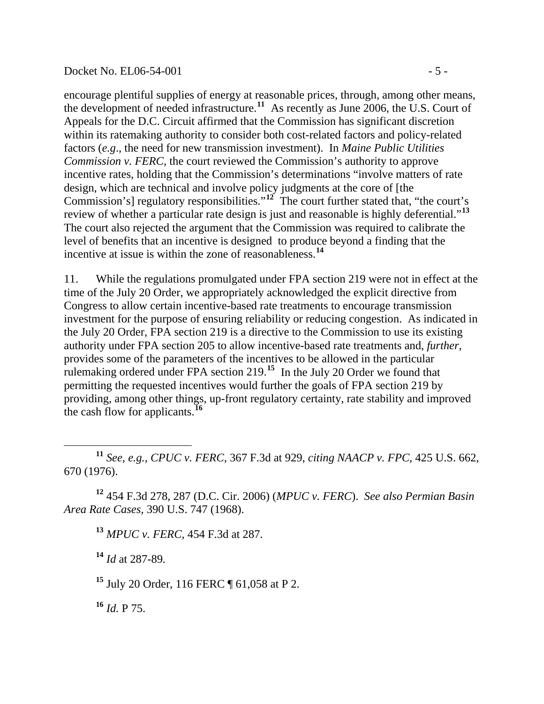### Docket No. EL06-54-001 - 5 -

encourage plentiful supplies of energy at reasonable prices, through, among other means, the development of needed infrastructure.**[11](#page-4-0)** As recently as June 2006, the U.S. Court of Appeals for the D.C. Circuit affirmed that the Commission has significant discretion within its ratemaking authority to consider both cost-related factors and policy-related factors (*e.g*., the need for new transmission investment). In *Maine Public Utilities Commission v. FERC,* the court reviewed the Commission's authority to approve incentive rates, holding that the Commission's determinations "involve matters of rate design, which are technical and involve policy judgments at the core of [the Commission's] regulatory responsibilities."**[12](#page-4-1)** The court further stated that, "the court's review of whether a particular rate design is just and reasonable is highly deferential."**[13](#page-4-2)** The court also rejected the argument that the Commission was required to calibrate the level of benefits that an incentive is designed to produce beyond a finding that the incentive at issue is within the zone of reasonableness.**[14](#page-4-3)**

11. While the regulations promulgated under FPA section 219 were not in effect at the time of the July 20 Order, we appropriately acknowledged the explicit directive from Congress to allow certain incentive-based rate treatments to encourage transmission investment for the purpose of ensuring reliability or reducing congestion. As indicated in the July 20 Order, FPA section 219 is a directive to the Commission to use its existing authority under FPA section 205 to allow incentive-based rate treatments and, *further*, provides some of the parameters of the incentives to be allowed in the particular rulemaking ordered under FPA section 219.**[15](#page-4-4)** In the July 20 Order we found that permitting the requested incentives would further the goals of FPA section 219 by providing, among other things, up-front regulatory certainty, rate stability and improved the cash flow for applicants.**[16](#page-4-5)**

<span id="page-4-0"></span> **<sup>11</sup>** *See, e.g., CPUC v. FERC*, 367 F.3d at 929, *citing NAACP v. FPC*, 425 U.S. 662, 670 (1976).

<span id="page-4-3"></span><span id="page-4-2"></span><span id="page-4-1"></span>**<sup>12</sup>** 454 F.3d 278, 287 (D.C. Cir. 2006) (*MPUC v. FERC*). *See also Permian Basin Area Rate Cases,* 390 U.S. 747 (1968).

**<sup>13</sup>** *MPUC v. FERC*, 454 F.3d at 287.

**<sup>14</sup>** *Id* at 287-89*.*

<span id="page-4-4"></span>**<sup>15</sup>** July 20 Order, 116 FERC ¶ 61,058 at P 2.

<span id="page-4-5"></span>**<sup>16</sup>** *Id.* P 75.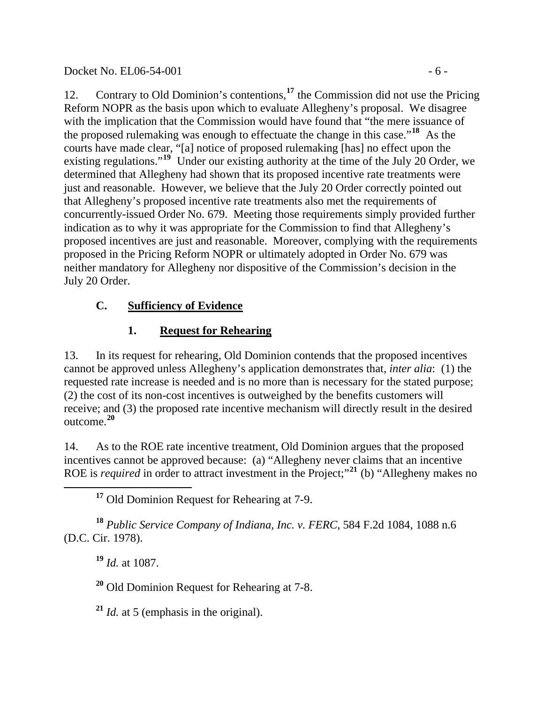## Docket No. EL06-54-001 - 6 -

12. Contrary to Old Dominion's contentions,**[17](#page-5-0)** the Commission did not use the Pricing Reform NOPR as the basis upon which to evaluate Allegheny's proposal. We disagree with the implication that the Commission would have found that "the mere issuance of the proposed rulemaking was enough to effectuate the change in this case."**[18](#page-5-1)** As the courts have made clear, "[a] notice of proposed rulemaking [has] no effect upon the existing regulations."<sup>[19](#page-5-2)</sup> Under our existing authority at the time of the July 20 Order, we determined that Allegheny had shown that its proposed incentive rate treatments were just and reasonable. However, we believe that the July 20 Order correctly pointed out that Allegheny's proposed incentive rate treatments also met the requirements of concurrently-issued Order No. 679. Meeting those requirements simply provided further indication as to why it was appropriate for the Commission to find that Allegheny's proposed incentives are just and reasonable. Moreover, complying with the requirements proposed in the Pricing Reform NOPR or ultimately adopted in Order No. 679 was neither mandatory for Allegheny nor dispositive of the Commission's decision in the July 20 Order.

# **C. Sufficiency of Evidence**

# **1. Request for Rehearing**

13. In its request for rehearing, Old Dominion contends that the proposed incentives cannot be approved unless Allegheny's application demonstrates that, *inter alia*: (1) the requested rate increase is needed and is no more than is necessary for the stated purpose; (2) the cost of its non-cost incentives is outweighed by the benefits customers will receive; and (3) the proposed rate incentive mechanism will directly result in the desired outcome.**[20](#page-5-3)**

14. As to the ROE rate incentive treatment, Old Dominion argues that the proposed incentives cannot be approved because: (a) "Allegheny never claims that an incentive ROE is *required* in order to attract investment in the Project;"**[21](#page-5-4)** (b) "Allegheny makes no

**<sup>17</sup>** Old Dominion Request for Rehearing at 7-9.

<span id="page-5-3"></span><span id="page-5-2"></span><span id="page-5-1"></span><span id="page-5-0"></span>**<sup>18</sup>** *Public Service Company of Indiana, Inc. v. FERC*, 584 F.2d 1084, 1088 n.6 (D.C. Cir. 1978).

**<sup>19</sup>** *Id.* at 1087.

**<sup>20</sup>** Old Dominion Request for Rehearing at 7-8.

<span id="page-5-4"></span>**<sup>21</sup>** *Id.* at 5 (emphasis in the original).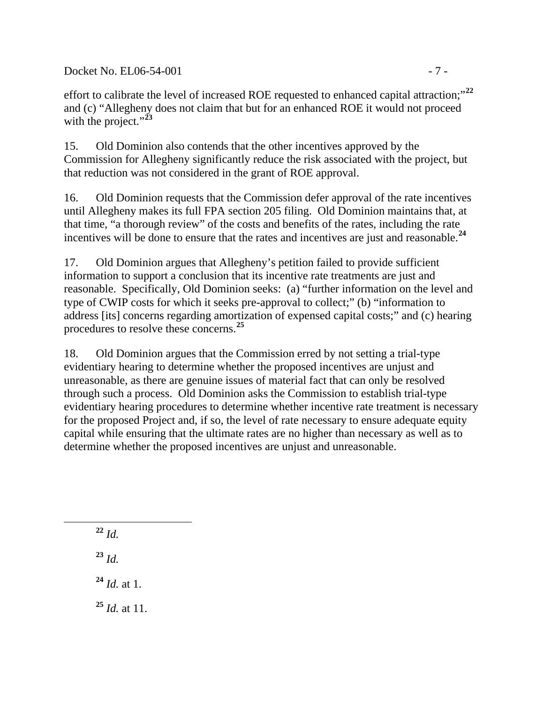Docket No. EL06-54-001 - 7 -

effort to calibrate the level of increased ROE requested to enhanced capital attraction;"**[22](#page-6-0)** and (c) "Allegheny does not claim that but for an enhanced ROE it would not proceed with the project."<sup>[23](#page-6-1)</sup>

15. Old Dominion also contends that the other incentives approved by the Commission for Allegheny significantly reduce the risk associated with the project, but that reduction was not considered in the grant of ROE approval.

16. Old Dominion requests that the Commission defer approval of the rate incentives until Allegheny makes its full FPA section 205 filing. Old Dominion maintains that, at that time, "a thorough review" of the costs and benefits of the rates, including the rate incentives will be done to ensure that the rates and incentives are just and reasonable.**[24](#page-6-2)**

17. Old Dominion argues that Allegheny's petition failed to provide sufficient information to support a conclusion that its incentive rate treatments are just and reasonable. Specifically, Old Dominion seeks: (a) "further information on the level and type of CWIP costs for which it seeks pre-approval to collect;" (b) "information to address [its] concerns regarding amortization of expensed capital costs;" and (c) hearing procedures to resolve these concerns.**[25](#page-6-3)**

18. Old Dominion argues that the Commission erred by not setting a trial-type evidentiary hearing to determine whether the proposed incentives are unjust and unreasonable, as there are genuine issues of material fact that can only be resolved through such a process. Old Dominion asks the Commission to establish trial-type evidentiary hearing procedures to determine whether incentive rate treatment is necessary for the proposed Project and, if so, the level of rate necessary to ensure adequate equity capital while ensuring that the ultimate rates are no higher than necessary as well as to determine whether the proposed incentives are unjust and unreasonable.

**<sup>22</sup>** *Id.* **<sup>23</sup>** *Id.* **<sup>24</sup>** *Id.* at 1. **<sup>25</sup>** *Id.* at 11.

<span id="page-6-3"></span><span id="page-6-2"></span><span id="page-6-1"></span><span id="page-6-0"></span> $\overline{a}$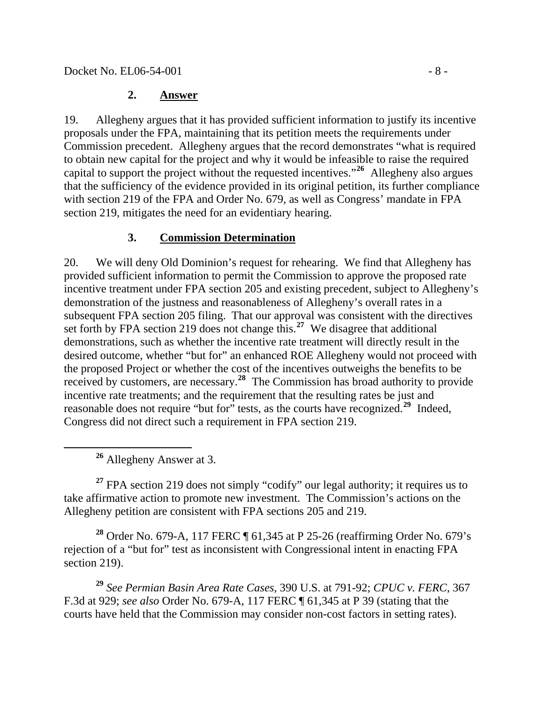# **2. Answer**

19. Allegheny argues that it has provided sufficient information to justify its incentive proposals under the FPA, maintaining that its petition meets the requirements under Commission precedent. Allegheny argues that the record demonstrates "what is required to obtain new capital for the project and why it would be infeasible to raise the required capital to support the project without the requested incentives."**[26](#page-7-0)** Allegheny also argues that the sufficiency of the evidence provided in its original petition, its further compliance with section 219 of the FPA and Order No. 679, as well as Congress' mandate in FPA section 219, mitigates the need for an evidentiary hearing.

# **3. Commission Determination**

20. We will deny Old Dominion's request for rehearing. We find that Allegheny has provided sufficient information to permit the Commission to approve the proposed rate incentive treatment under FPA section 205 and existing precedent, subject to Allegheny's demonstration of the justness and reasonableness of Allegheny's overall rates in a subsequent FPA section 205 filing. That our approval was consistent with the directives set forth by FPA section 219 does not change this.**[27](#page-7-1)** We disagree that additional demonstrations, such as whether the incentive rate treatment will directly result in the desired outcome, whether "but for" an enhanced ROE Allegheny would not proceed with the proposed Project or whether the cost of the incentives outweighs the benefits to be received by customers, are necessary.**[28](#page-7-2)** The Commission has broad authority to provide incentive rate treatments; and the requirement that the resulting rates be just and reasonable does not require "but for" tests, as the courts have recognized.**[29](#page-7-3)** Indeed, Congress did not direct such a requirement in FPA section 219.

**<sup>26</sup>** Allegheny Answer at 3.

<span id="page-7-1"></span><span id="page-7-0"></span>**<sup>27</sup>** FPA section 219 does not simply "codify" our legal authority; it requires us to take affirmative action to promote new investment. The Commission's actions on the Allegheny petition are consistent with FPA sections 205 and 219.

<span id="page-7-2"></span>**<sup>28</sup>** Order No. 679-A, 117 FERC ¶ 61,345 at P 25-26 (reaffirming Order No. 679's rejection of a "but for" test as inconsistent with Congressional intent in enacting FPA section 219).

<span id="page-7-3"></span>**<sup>29</sup>** *See Permian Basin Area Rate Cases*, 390 U.S. at 791-92; *CPUC v. FERC*, 367 F.3d at 929; *see also* Order No. 679-A, 117 FERC ¶ 61,345 at P 39 (stating that the courts have held that the Commission may consider non-cost factors in setting rates).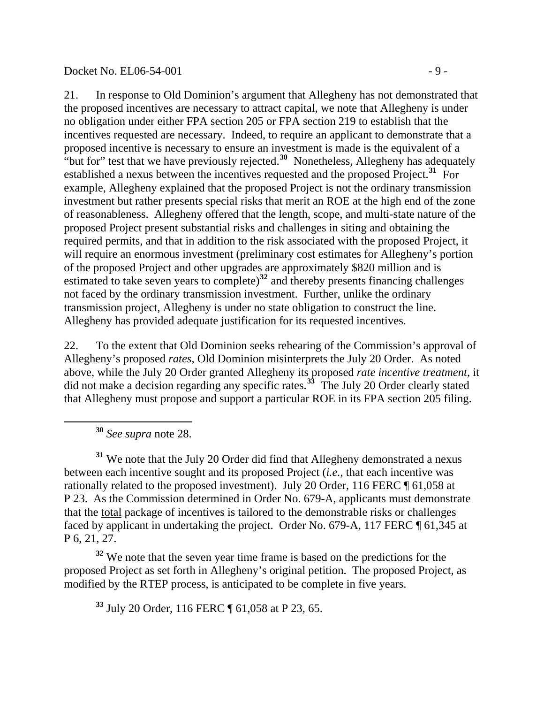### Docket No. EL06-54-001 - 9 -

21. In response to Old Dominion's argument that Allegheny has not demonstrated that the proposed incentives are necessary to attract capital, we note that Allegheny is under no obligation under either FPA section 205 or FPA section 219 to establish that the incentives requested are necessary. Indeed, to require an applicant to demonstrate that a proposed incentive is necessary to ensure an investment is made is the equivalent of a "but for" test that we have previously rejected.**[30](#page-8-0)** Nonetheless, Allegheny has adequately established a nexus between the incentives requested and the proposed Project.**[31](#page-8-1)** For example, Allegheny explained that the proposed Project is not the ordinary transmission investment but rather presents special risks that merit an ROE at the high end of the zone of reasonableness. Allegheny offered that the length, scope, and multi-state nature of the proposed Project present substantial risks and challenges in siting and obtaining the required permits, and that in addition to the risk associated with the proposed Project, it will require an enormous investment (preliminary cost estimates for Allegheny's portion of the proposed Project and other upgrades are approximately \$820 million and is estimated to take seven years to complete)**[32](#page-8-2)** and thereby presents financing challenges not faced by the ordinary transmission investment. Further, unlike the ordinary transmission project, Allegheny is under no state obligation to construct the line. Allegheny has provided adequate justification for its requested incentives.

22. To the extent that Old Dominion seeks rehearing of the Commission's approval of Allegheny's proposed *rates*, Old Dominion misinterprets the July 20 Order. As noted above, while the July 20 Order granted Allegheny its proposed *rate incentive treatment*, it did not make a decision regarding any specific rates.**[33](#page-8-3)** The July 20 Order clearly stated that Allegheny must propose and support a particular ROE in its FPA section 205 filing.

**<sup>30</sup>** *See supra* note 28.

<span id="page-8-0"></span> $\overline{a}$ 

<span id="page-8-1"></span>**<sup>31</sup>** We note that the July 20 Order did find that Allegheny demonstrated a nexus between each incentive sought and its proposed Project (*i.e.*, that each incentive was rationally related to the proposed investment). July 20 Order, 116 FERC ¶ 61,058 at P 23. As the Commission determined in Order No. 679-A, applicants must demonstrate that the total package of incentives is tailored to the demonstrable risks or challenges faced by applicant in undertaking the project. Order No. 679-A, 117 FERC ¶ 61,345 at P 6, 21, 27.

<span id="page-8-3"></span><span id="page-8-2"></span>**<sup>32</sup>** We note that the seven year time frame is based on the predictions for the proposed Project as set forth in Allegheny's original petition. The proposed Project, as modified by the RTEP process, is anticipated to be complete in five years.

**<sup>33</sup>** July 20 Order, 116 FERC ¶ 61,058 at P 23, 65.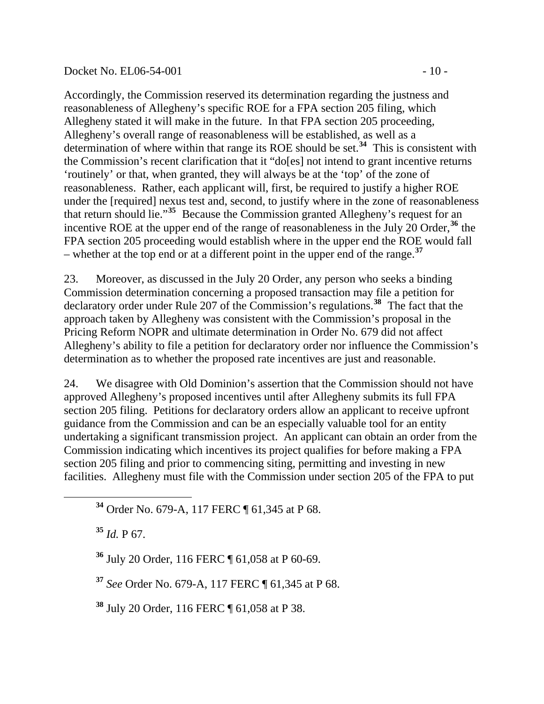### Docket No. EL06-54-001 - 10 -

Accordingly, the Commission reserved its determination regarding the justness and reasonableness of Allegheny's specific ROE for a FPA section 205 filing, which Allegheny stated it will make in the future. In that FPA section 205 proceeding, Allegheny's overall range of reasonableness will be established, as well as a determination of where within that range its ROE should be set.**[34](#page-9-0)** This is consistent with the Commission's recent clarification that it "do[es] not intend to grant incentive returns 'routinely' or that, when granted, they will always be at the 'top' of the zone of reasonableness. Rather, each applicant will, first, be required to justify a higher ROE under the [required] nexus test and, second, to justify where in the zone of reasonableness that return should lie."**[35](#page-9-1)** Because the Commission granted Allegheny's request for an incentive ROE at the upper end of the range of reasonableness in the July 20 Order,**[36](#page-9-2)** the FPA section 205 proceeding would establish where in the upper end the ROE would fall – whether at the top end or at a different point in the upper end of the range.**[37](#page-9-3)**

23. Moreover, as discussed in the July 20 Order, any person who seeks a binding Commission determination concerning a proposed transaction may file a petition for declaratory order under Rule 207 of the Commission's regulations.**[38](#page-9-4)** The fact that the approach taken by Allegheny was consistent with the Commission's proposal in the Pricing Reform NOPR and ultimate determination in Order No. 679 did not affect Allegheny's ability to file a petition for declaratory order nor influence the Commission's determination as to whether the proposed rate incentives are just and reasonable.

24. We disagree with Old Dominion's assertion that the Commission should not have approved Allegheny's proposed incentives until after Allegheny submits its full FPA section 205 filing. Petitions for declaratory orders allow an applicant to receive upfront guidance from the Commission and can be an especially valuable tool for an entity undertaking a significant transmission project. An applicant can obtain an order from the Commission indicating which incentives its project qualifies for before making a FPA section 205 filing and prior to commencing siting, permitting and investing in new facilities. Allegheny must file with the Commission under section 205 of the FPA to put

**<sup>34</sup>** Order No. 679-A, 117 FERC ¶ 61,345 at P 68.

**<sup>35</sup>** *Id.* P 67.

<span id="page-9-2"></span><span id="page-9-1"></span><span id="page-9-0"></span> $\overline{a}$ 

**<sup>36</sup>** July 20 Order, 116 FERC ¶ 61,058 at P 60-69.

<span id="page-9-3"></span>**<sup>37</sup>** *See* Order No. 679-A, 117 FERC ¶ 61,345 at P 68.

<span id="page-9-4"></span>**<sup>38</sup>** July 20 Order, 116 FERC ¶ 61,058 at P 38.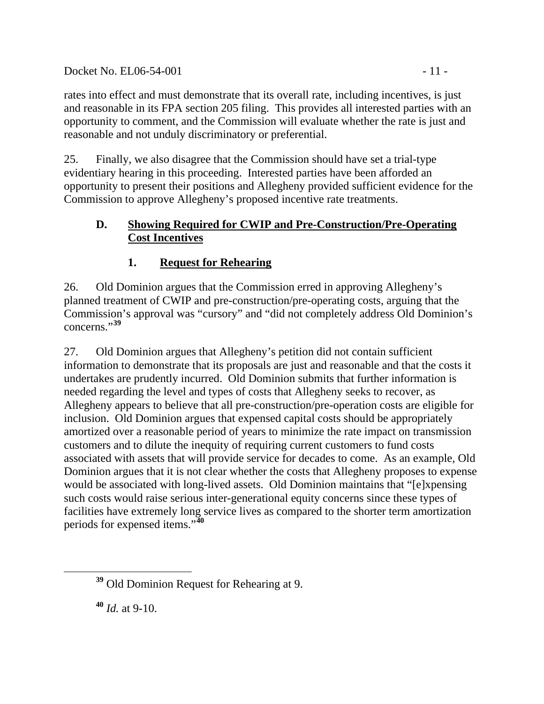## Docket No. EL06-54-001 - 11 -

rates into effect and must demonstrate that its overall rate, including incentives, is just and reasonable in its FPA section 205 filing. This provides all interested parties with an opportunity to comment, and the Commission will evaluate whether the rate is just and reasonable and not unduly discriminatory or preferential.

25. Finally, we also disagree that the Commission should have set a trial-type evidentiary hearing in this proceeding. Interested parties have been afforded an opportunity to present their positions and Allegheny provided sufficient evidence for the Commission to approve Allegheny's proposed incentive rate treatments.

## **D. Showing Required for CWIP and Pre-Construction/Pre-Operating Cost Incentives**

# **1. Request for Rehearing**

26. Old Dominion argues that the Commission erred in approving Allegheny's planned treatment of CWIP and pre-construction/pre-operating costs, arguing that the Commission's approval was "cursory" and "did not completely address Old Dominion's concerns."**[39](#page-10-0)**

27. Old Dominion argues that Allegheny's petition did not contain sufficient information to demonstrate that its proposals are just and reasonable and that the costs it undertakes are prudently incurred. Old Dominion submits that further information is needed regarding the level and types of costs that Allegheny seeks to recover, as Allegheny appears to believe that all pre-construction/pre-operation costs are eligible for inclusion. Old Dominion argues that expensed capital costs should be appropriately amortized over a reasonable period of years to minimize the rate impact on transmission customers and to dilute the inequity of requiring current customers to fund costs associated with assets that will provide service for decades to come. As an example, Old Dominion argues that it is not clear whether the costs that Allegheny proposes to expense would be associated with long-lived assets. Old Dominion maintains that "[e]xpensing such costs would raise serious inter-generational equity concerns since these types of facilities have extremely long service lives as compared to the shorter term amortization periods for expensed items."**[40](#page-10-1)**

<span id="page-10-0"></span>**<sup>39</sup>** Old Dominion Request for Rehearing at 9.

<span id="page-10-1"></span>**<sup>40</sup>** *Id.* at 9-10.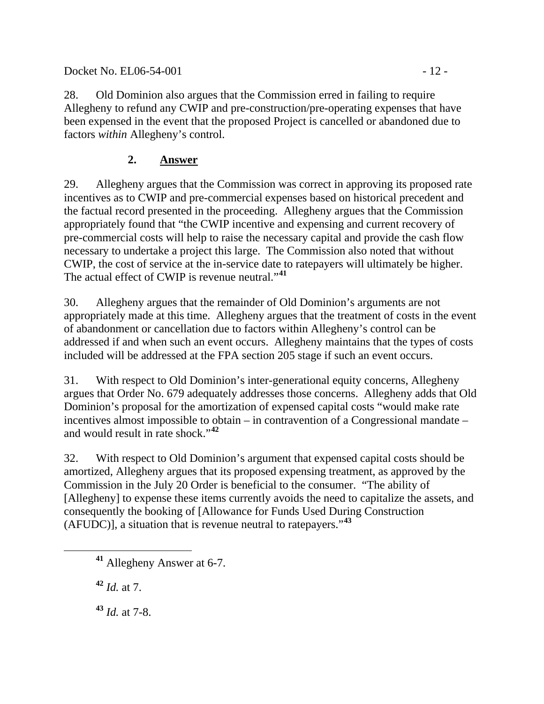Docket No. EL06-54-001 - 12 -

28. Old Dominion also argues that the Commission erred in failing to require Allegheny to refund any CWIP and pre-construction/pre-operating expenses that have been expensed in the event that the proposed Project is cancelled or abandoned due to factors *within* Allegheny's control.

# **2. Answer**

29. Allegheny argues that the Commission was correct in approving its proposed rate incentives as to CWIP and pre-commercial expenses based on historical precedent and the factual record presented in the proceeding. Allegheny argues that the Commission appropriately found that "the CWIP incentive and expensing and current recovery of pre-commercial costs will help to raise the necessary capital and provide the cash flow necessary to undertake a project this large. The Commission also noted that without CWIP, the cost of service at the in-service date to ratepayers will ultimately be higher. The actual effect of CWIP is revenue neutral."**[41](#page-11-0)**

30. Allegheny argues that the remainder of Old Dominion's arguments are not appropriately made at this time. Allegheny argues that the treatment of costs in the event of abandonment or cancellation due to factors within Allegheny's control can be addressed if and when such an event occurs. Allegheny maintains that the types of costs included will be addressed at the FPA section 205 stage if such an event occurs.

31. With respect to Old Dominion's inter-generational equity concerns, Allegheny argues that Order No. 679 adequately addresses those concerns. Allegheny adds that Old Dominion's proposal for the amortization of expensed capital costs "would make rate incentives almost impossible to obtain – in contravention of a Congressional mandate – and would result in rate shock."**[42](#page-11-1)**

32. With respect to Old Dominion's argument that expensed capital costs should be amortized, Allegheny argues that its proposed expensing treatment, as approved by the Commission in the July 20 Order is beneficial to the consumer. "The ability of [Allegheny] to expense these items currently avoids the need to capitalize the assets, and consequently the booking of [Allowance for Funds Used During Construction (AFUDC)], a situation that is revenue neutral to ratepayers."**[43](#page-11-2)**

<span id="page-11-1"></span>**<sup>42</sup>** *Id.* at 7.

<span id="page-11-2"></span>**<sup>43</sup>** *Id.* at 7-8.

<span id="page-11-0"></span>**<sup>41</sup>** Allegheny Answer at 6-7.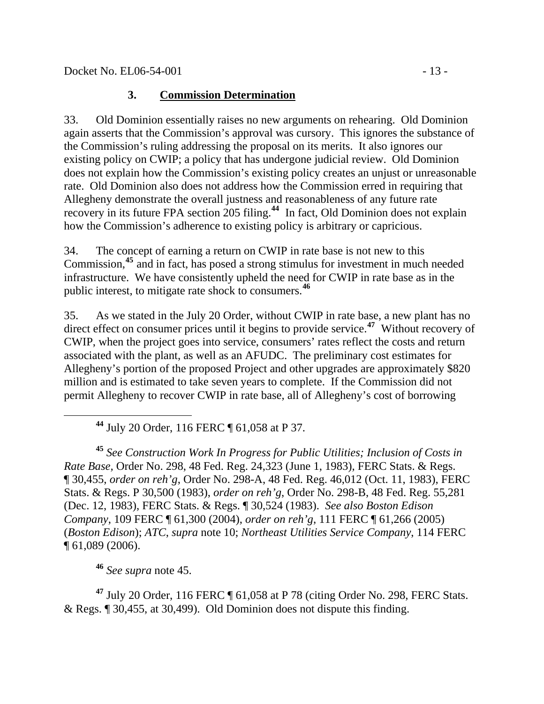# **3. Commission Determination**

33. Old Dominion essentially raises no new arguments on rehearing. Old Dominion again asserts that the Commission's approval was cursory. This ignores the substance of the Commission's ruling addressing the proposal on its merits. It also ignores our existing policy on CWIP; a policy that has undergone judicial review. Old Dominion does not explain how the Commission's existing policy creates an unjust or unreasonable rate. Old Dominion also does not address how the Commission erred in requiring that Allegheny demonstrate the overall justness and reasonableness of any future rate recovery in its future FPA section 205 filing.**[44](#page-12-0)** In fact, Old Dominion does not explain how the Commission's adherence to existing policy is arbitrary or capricious.

34. The concept of earning a return on CWIP in rate base is not new to this Commission,**[45](#page-12-1)** and in fact, has posed a strong stimulus for investment in much needed infrastructure. We have consistently upheld the need for CWIP in rate base as in the public interest, to mitigate rate shock to consumers.**[46](#page-12-2)**

35. As we stated in the July 20 Order, without CWIP in rate base, a new plant has no direct effect on consumer prices until it begins to provide service.**[47](#page-12-3)** Without recovery of CWIP, when the project goes into service, consumers' rates reflect the costs and return associated with the plant, as well as an AFUDC. The preliminary cost estimates for Allegheny's portion of the proposed Project and other upgrades are approximately \$820 million and is estimated to take seven years to complete. If the Commission did not permit Allegheny to recover CWIP in rate base, all of Allegheny's cost of borrowing

**<sup>44</sup>** July 20 Order, 116 FERC ¶ 61,058 at P 37.

<span id="page-12-1"></span><span id="page-12-0"></span>**<sup>45</sup>** *See Construction Work In Progress for Public Utilities; Inclusion of Costs in Rate Base,* Order No. 298, 48 Fed. Reg. 24,323 (June 1, 1983), FERC Stats. & Regs. ¶ 30,455, *order on reh'g*, Order No. 298-A, 48 Fed. Reg. 46,012 (Oct. 11, 1983), FERC Stats. & Regs. P 30,500 (1983), *order on reh'g*, Order No. 298-B, 48 Fed. Reg. 55,281 (Dec. 12, 1983), FERC Stats. & Regs. ¶ 30,524 (1983). *See also Boston Edison Company*, 109 FERC ¶ 61,300 (2004), *order on reh'g*, 111 FERC ¶ 61,266 (2005) (*Boston Edison*); *ATC*, *supra* note 10; *Northeast Utilities Service Company*, 114 FERC ¶ 61,089 (2006).

**<sup>46</sup>** *See supra* note 45.

<span id="page-12-3"></span><span id="page-12-2"></span>**<sup>47</sup>** July 20 Order, 116 FERC ¶ 61,058 at P 78 (citing Order No. 298, FERC Stats. & Regs. ¶ 30,455, at 30,499). Old Dominion does not dispute this finding.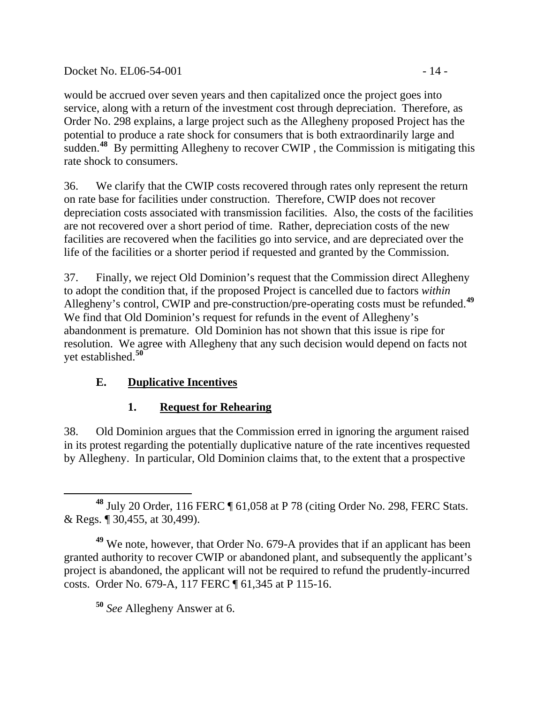## Docket No. EL06-54-001 - 14 -

would be accrued over seven years and then capitalized once the project goes into service, along with a return of the investment cost through depreciation. Therefore, as Order No. 298 explains, a large project such as the Allegheny proposed Project has the potential to produce a rate shock for consumers that is both extraordinarily large and sudden.<sup>[48](#page-13-0)</sup> By permitting Allegheny to recover CWIP, the Commission is mitigating this rate shock to consumers.

36. We clarify that the CWIP costs recovered through rates only represent the return on rate base for facilities under construction. Therefore, CWIP does not recover depreciation costs associated with transmission facilities. Also, the costs of the facilities are not recovered over a short period of time. Rather, depreciation costs of the new facilities are recovered when the facilities go into service, and are depreciated over the life of the facilities or a shorter period if requested and granted by the Commission.

37. Finally, we reject Old Dominion's request that the Commission direct Allegheny to adopt the condition that, if the proposed Project is cancelled due to factors *within* Allegheny's control, CWIP and pre-construction/pre-operating costs must be refunded.**[49](#page-13-1)** We find that Old Dominion's request for refunds in the event of Allegheny's abandonment is premature. Old Dominion has not shown that this issue is ripe for resolution. We agree with Allegheny that any such decision would depend on facts not yet established.**[50](#page-13-2)**

## **E. Duplicative Incentives**

## **1. Request for Rehearing**

38. Old Dominion argues that the Commission erred in ignoring the argument raised in its protest regarding the potentially duplicative nature of the rate incentives requested by Allegheny. In particular, Old Dominion claims that, to the extent that a prospective

**<sup>50</sup>** *See* Allegheny Answer at 6.

<span id="page-13-0"></span>**<sup>48</sup>** July 20 Order, 116 FERC ¶ 61,058 at P 78 (citing Order No. 298, FERC Stats. & Regs. ¶ 30,455, at 30,499).

<span id="page-13-2"></span><span id="page-13-1"></span>**<sup>49</sup>** We note, however, that Order No. 679-A provides that if an applicant has been granted authority to recover CWIP or abandoned plant, and subsequently the applicant's project is abandoned, the applicant will not be required to refund the prudently-incurred costs. Order No. 679-A, 117 FERC ¶ 61,345 at P 115-16.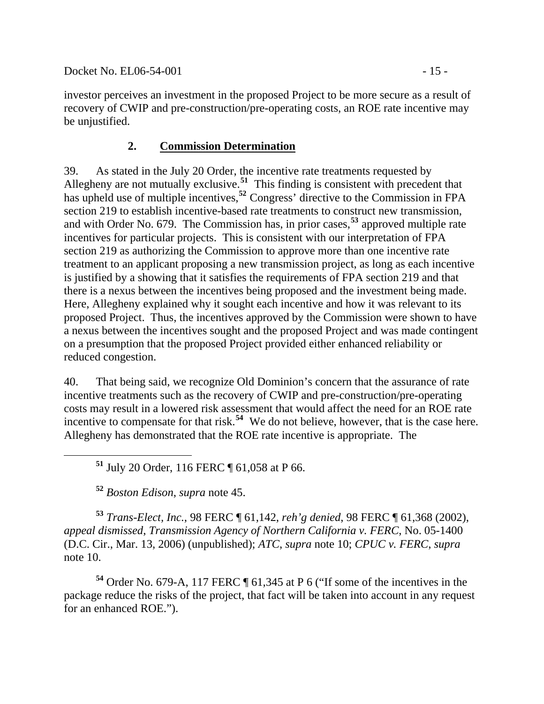Docket No. EL06-54-001 - 15 -

investor perceives an investment in the proposed Project to be more secure as a result of recovery of CWIP and pre-construction/pre-operating costs, an ROE rate incentive may be unjustified.

## **2. Commission Determination**

39. As stated in the July 20 Order, the incentive rate treatments requested by Allegheny are not mutually exclusive.<sup>[51](#page-14-0)</sup> This finding is consistent with precedent that has upheld use of multiple incentives,<sup>[52](#page-14-1)</sup> Congress' directive to the Commission in FPA section 219 to establish incentive-based rate treatments to construct new transmission, and with Order No. 679. The Commission has, in prior cases,**[53](#page-14-2)** approved multiple rate incentives for particular projects. This is consistent with our interpretation of FPA section 219 as authorizing the Commission to approve more than one incentive rate treatment to an applicant proposing a new transmission project, as long as each incentive is justified by a showing that it satisfies the requirements of FPA section 219 and that there is a nexus between the incentives being proposed and the investment being made. Here, Allegheny explained why it sought each incentive and how it was relevant to its proposed Project. Thus, the incentives approved by the Commission were shown to have a nexus between the incentives sought and the proposed Project and was made contingent on a presumption that the proposed Project provided either enhanced reliability or reduced congestion.

40. That being said, we recognize Old Dominion's concern that the assurance of rate incentive treatments such as the recovery of CWIP and pre-construction/pre-operating costs may result in a lowered risk assessment that would affect the need for an ROE rate incentive to compensate for that risk.**[54](#page-14-3)** We do not believe, however, that is the case here. Allegheny has demonstrated that the ROE rate incentive is appropriate. The

**<sup>51</sup>** July 20 Order, 116 FERC ¶ 61,058 at P 66.

**<sup>52</sup>** *Boston Edison*, *supra* note 45.

<span id="page-14-2"></span><span id="page-14-1"></span><span id="page-14-0"></span>**<sup>53</sup>** *Trans-Elect, Inc.*, 98 FERC ¶ 61,142, *reh'g denied*, 98 FERC ¶ 61,368 (2002), *appeal dismissed*, *Transmission Agency of Northern California v. FERC*, No. 05-1400 (D.C. Cir., Mar. 13, 2006) (unpublished); *ATC*, *supra* note 10; *CPUC v. FERC*, *supra* note 10.

<span id="page-14-3"></span>**<sup>54</sup>** Order No. 679-A, 117 FERC ¶ 61,345 at P 6 ("If some of the incentives in the package reduce the risks of the project, that fact will be taken into account in any request for an enhanced ROE.").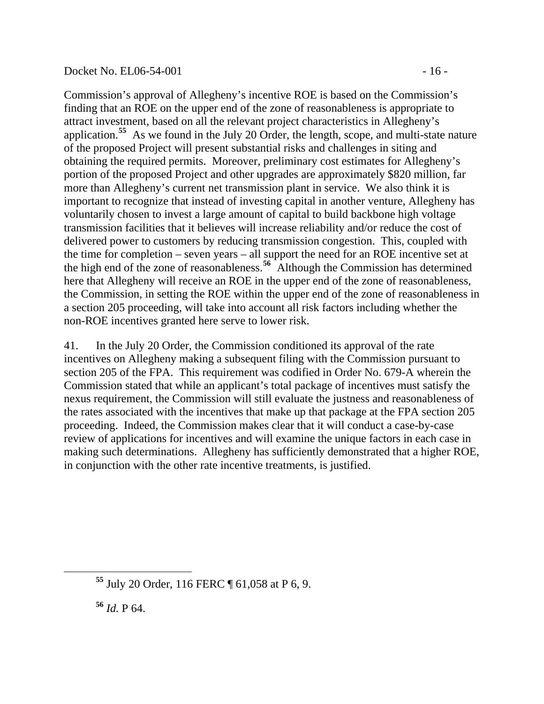#### Docket No. EL06-54-001 - 16 -

Commission's approval of Allegheny's incentive ROE is based on the Commission's finding that an ROE on the upper end of the zone of reasonableness is appropriate to attract investment, based on all the relevant project characteristics in Allegheny's application.**[55](#page-15-0)** As we found in the July 20 Order, the length, scope, and multi-state nature of the proposed Project will present substantial risks and challenges in siting and obtaining the required permits. Moreover, preliminary cost estimates for Allegheny's portion of the proposed Project and other upgrades are approximately \$820 million, far more than Allegheny's current net transmission plant in service. We also think it is important to recognize that instead of investing capital in another venture, Allegheny has voluntarily chosen to invest a large amount of capital to build backbone high voltage transmission facilities that it believes will increase reliability and/or reduce the cost of delivered power to customers by reducing transmission congestion. This, coupled with the time for completion – seven years – all support the need for an ROE incentive set at the high end of the zone of reasonableness.**[56](#page-15-1)** Although the Commission has determined here that Allegheny will receive an ROE in the upper end of the zone of reasonableness, the Commission, in setting the ROE within the upper end of the zone of reasonableness in a section 205 proceeding, will take into account all risk factors including whether the non-ROE incentives granted here serve to lower risk.

41. In the July 20 Order, the Commission conditioned its approval of the rate incentives on Allegheny making a subsequent filing with the Commission pursuant to section 205 of the FPA. This requirement was codified in Order No. 679-A wherein the Commission stated that while an applicant's total package of incentives must satisfy the nexus requirement, the Commission will still evaluate the justness and reasonableness of the rates associated with the incentives that make up that package at the FPA section 205 proceeding. Indeed, the Commission makes clear that it will conduct a case-by-case review of applications for incentives and will examine the unique factors in each case in making such determinations. Allegheny has sufficiently demonstrated that a higher ROE, in conjunction with the other rate incentive treatments, is justified.

**<sup>56</sup>** *Id.* P 64.

<span id="page-15-1"></span><span id="page-15-0"></span> $\overline{a}$ 

**<sup>55</sup>** July 20 Order, 116 FERC ¶ 61,058 at P 6, 9.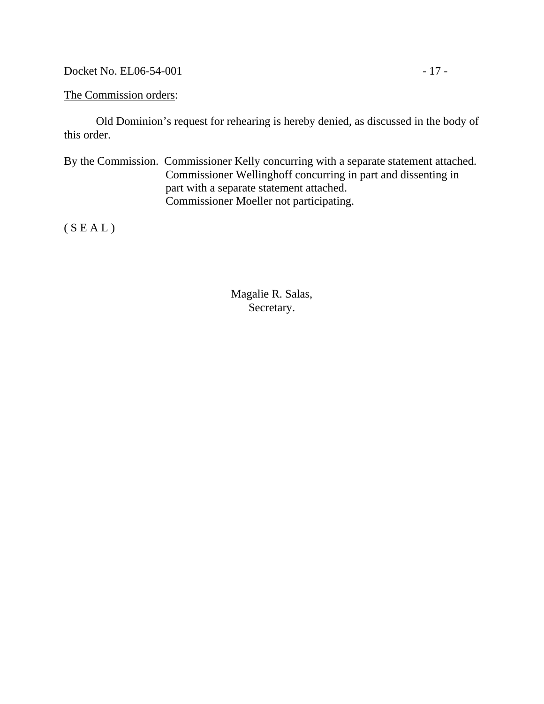Docket No. EL06-54-001 - 17 -

The Commission orders:

 Old Dominion's request for rehearing is hereby denied, as discussed in the body of this order.

By the Commission. Commissioner Kelly concurring with a separate statement attached. Commissioner Wellinghoff concurring in part and dissenting in part with a separate statement attached. Commissioner Moeller not participating.

 $(S E A L)$ 

Magalie R. Salas, Secretary.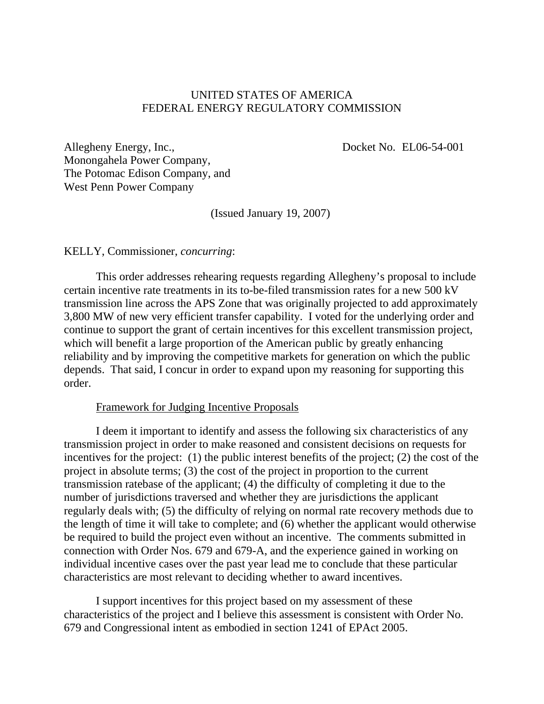### UNITED STATES OF AMERICA FEDERAL ENERGY REGULATORY COMMISSION

Docket No. EL06-54-001

Allegheny Energy, Inc., Monongahela Power Company, The Potomac Edison Company, and West Penn Power Company

(Issued January 19, 2007)

KELLY, Commissioner, *concurring*:

This order addresses rehearing requests regarding Allegheny's proposal to include certain incentive rate treatments in its to-be-filed transmission rates for a new 500 kV transmission line across the APS Zone that was originally projected to add approximately 3,800 MW of new very efficient transfer capability. I voted for the underlying order and continue to support the grant of certain incentives for this excellent transmission project, which will benefit a large proportion of the American public by greatly enhancing reliability and by improving the competitive markets for generation on which the public depends. That said, I concur in order to expand upon my reasoning for supporting this order.

#### Framework for Judging Incentive Proposals

I deem it important to identify and assess the following six characteristics of any transmission project in order to make reasoned and consistent decisions on requests for incentives for the project: (1) the public interest benefits of the project; (2) the cost of the project in absolute terms; (3) the cost of the project in proportion to the current transmission ratebase of the applicant; (4) the difficulty of completing it due to the number of jurisdictions traversed and whether they are jurisdictions the applicant regularly deals with; (5) the difficulty of relying on normal rate recovery methods due to the length of time it will take to complete; and (6) whether the applicant would otherwise be required to build the project even without an incentive. The comments submitted in connection with Order Nos. 679 and 679-A, and the experience gained in working on individual incentive cases over the past year lead me to conclude that these particular characteristics are most relevant to deciding whether to award incentives.

I support incentives for this project based on my assessment of these characteristics of the project and I believe this assessment is consistent with Order No. 679 and Congressional intent as embodied in section 1241 of EPAct 2005.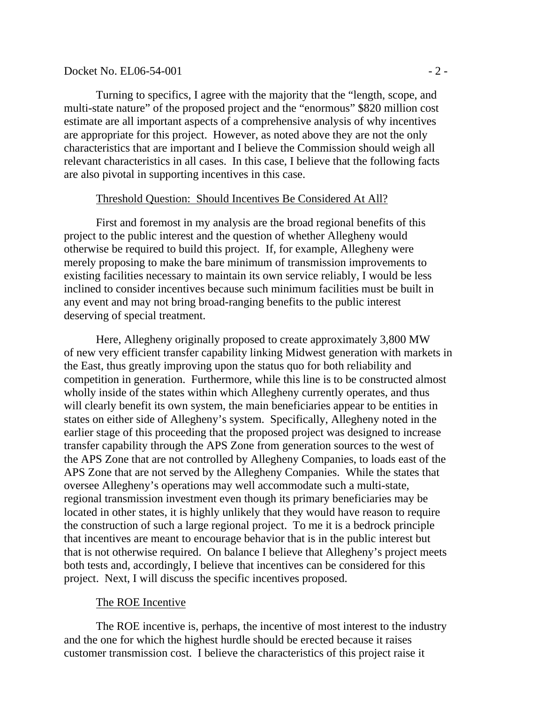#### $Docket No. EL06-54-001$   $-2$  -

Turning to specifics, I agree with the majority that the "length, scope, and multi-state nature" of the proposed project and the "enormous" \$820 million cost estimate are all important aspects of a comprehensive analysis of why incentives are appropriate for this project. However, as noted above they are not the only characteristics that are important and I believe the Commission should weigh all relevant characteristics in all cases. In this case, I believe that the following facts are also pivotal in supporting incentives in this case.

#### Threshold Question: Should Incentives Be Considered At All?

First and foremost in my analysis are the broad regional benefits of this project to the public interest and the question of whether Allegheny would otherwise be required to build this project. If, for example, Allegheny were merely proposing to make the bare minimum of transmission improvements to existing facilities necessary to maintain its own service reliably, I would be less inclined to consider incentives because such minimum facilities must be built in any event and may not bring broad-ranging benefits to the public interest deserving of special treatment.

Here, Allegheny originally proposed to create approximately 3,800 MW of new very efficient transfer capability linking Midwest generation with markets in the East, thus greatly improving upon the status quo for both reliability and competition in generation. Furthermore, while this line is to be constructed almost wholly inside of the states within which Allegheny currently operates, and thus will clearly benefit its own system, the main beneficiaries appear to be entities in states on either side of Allegheny's system. Specifically, Allegheny noted in the earlier stage of this proceeding that the proposed project was designed to increase transfer capability through the APS Zone from generation sources to the west of the APS Zone that are not controlled by Allegheny Companies, to loads east of the APS Zone that are not served by the Allegheny Companies. While the states that oversee Allegheny's operations may well accommodate such a multi-state, regional transmission investment even though its primary beneficiaries may be located in other states, it is highly unlikely that they would have reason to require the construction of such a large regional project. To me it is a bedrock principle that incentives are meant to encourage behavior that is in the public interest but that is not otherwise required. On balance I believe that Allegheny's project meets both tests and, accordingly, I believe that incentives can be considered for this project. Next, I will discuss the specific incentives proposed.

#### The ROE Incentive

The ROE incentive is, perhaps, the incentive of most interest to the industry and the one for which the highest hurdle should be erected because it raises customer transmission cost. I believe the characteristics of this project raise it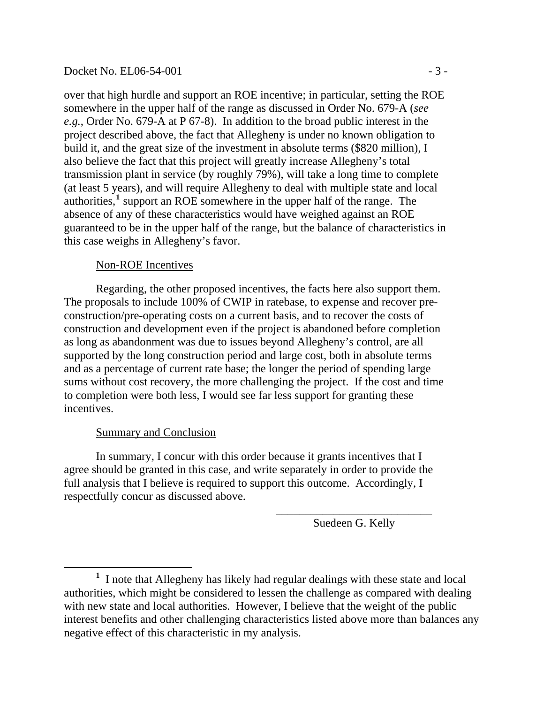#### Docket No. EL06-54-001 - 3 -

over that high hurdle and support an ROE incentive; in particular, setting the ROE somewhere in the upper half of the range as discussed in Order No. 679-A (*see e.g.*, Order No. 679-A at P 67-8). In addition to the broad public interest in the project described above, the fact that Allegheny is under no known obligation to build it, and the great size of the investment in absolute terms (\$820 million), I also believe the fact that this project will greatly increase Allegheny's total transmission plant in service (by roughly 79%), will take a long time to complete (at least 5 years), and will require Allegheny to deal with multiple state and local  $a$ uthorities,<sup>[1](#page-19-0)</sup> support an ROE somewhere in the upper half of the range. The absence of any of these characteristics would have weighed against an ROE guaranteed to be in the upper half of the range, but the balance of characteristics in this case weighs in Allegheny's favor.

#### Non-ROE Incentives

Regarding, the other proposed incentives, the facts here also support them. The proposals to include 100% of CWIP in ratebase, to expense and recover preconstruction/pre-operating costs on a current basis, and to recover the costs of construction and development even if the project is abandoned before completion as long as abandonment was due to issues beyond Allegheny's control, are all supported by the long construction period and large cost, both in absolute terms and as a percentage of current rate base; the longer the period of spending large sums without cost recovery, the more challenging the project. If the cost and time to completion were both less, I would see far less support for granting these incentives.

#### Summary and Conclusion

In summary, I concur with this order because it grants incentives that I agree should be granted in this case, and write separately in order to provide the full analysis that I believe is required to support this outcome. Accordingly, I respectfully concur as discussed above.

> \_\_\_\_\_\_\_\_\_\_\_\_\_\_\_\_\_\_\_\_\_\_\_\_\_\_\_ Suedeen G. Kelly

<span id="page-19-0"></span><sup>&</sup>lt;u>1</u> <sup>1</sup> I note that Allegheny has likely had regular dealings with these state and local authorities, which might be considered to lessen the challenge as compared with dealing with new state and local authorities. However, I believe that the weight of the public interest benefits and other challenging characteristics listed above more than balances any negative effect of this characteristic in my analysis.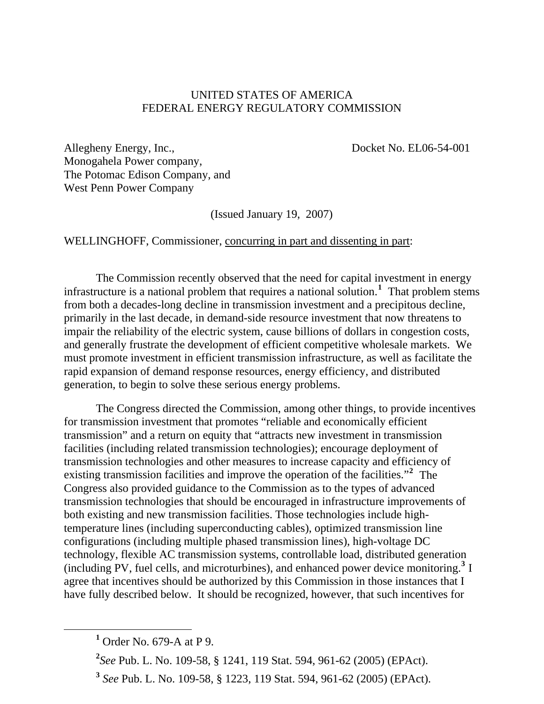### UNITED STATES OF AMERICA FEDERAL ENERGY REGULATORY COMMISSION

Allegheny Energy, Inc., Docket No. EL06-54-001 Monogahela Power company, The Potomac Edison Company, and West Penn Power Company

(Issued January 19, 2007)

WELLINGHOFF, Commissioner, concurring in part and dissenting in part:

 The Commission recently observed that the need for capital investment in energy infrastructure is a national problem that requires a national solution.**[1](#page-20-0)** That problem stems from both a decades-long decline in transmission investment and a precipitous decline, primarily in the last decade, in demand-side resource investment that now threatens to impair the reliability of the electric system, cause billions of dollars in congestion costs, and generally frustrate the development of efficient competitive wholesale markets. We must promote investment in efficient transmission infrastructure, as well as facilitate the rapid expansion of demand response resources, energy efficiency, and distributed generation, to begin to solve these serious energy problems.

 The Congress directed the Commission, among other things, to provide incentives for transmission investment that promotes "reliable and economically efficient transmission" and a return on equity that "attracts new investment in transmission facilities (including related transmission technologies); encourage deployment of transmission technologies and other measures to increase capacity and efficiency of existing transmission facilities and improve the operation of the facilities."**[2](#page-20-1)** The Congress also provided guidance to the Commission as to the types of advanced transmission technologies that should be encouraged in infrastructure improvements of both existing and new transmission facilities. Those technologies include hightemperature lines (including superconducting cables), optimized transmission line configurations (including multiple phased transmission lines), high-voltage DC technology, flexible AC transmission systems, controllable load, distributed generation (including PV, fuel cells, and microturbines), and enhanced power device monitoring.**[3](#page-20-2)** I agree that incentives should be authorized by this Commission in those instances that I have fully described below. It should be recognized, however, that such incentives for

**2** *See* Pub. L. No. 109-58, § 1241, 119 Stat. 594, 961-62 (2005) (EPAct).

<span id="page-20-2"></span><span id="page-20-1"></span><span id="page-20-0"></span><sup>&</sup>lt;u>1</u>  $<sup>1</sup>$  Order No. 679-A at P 9.</sup>

**<sup>3</sup>** *See* Pub. L. No. 109-58, § 1223, 119 Stat. 594, 961-62 (2005) (EPAct).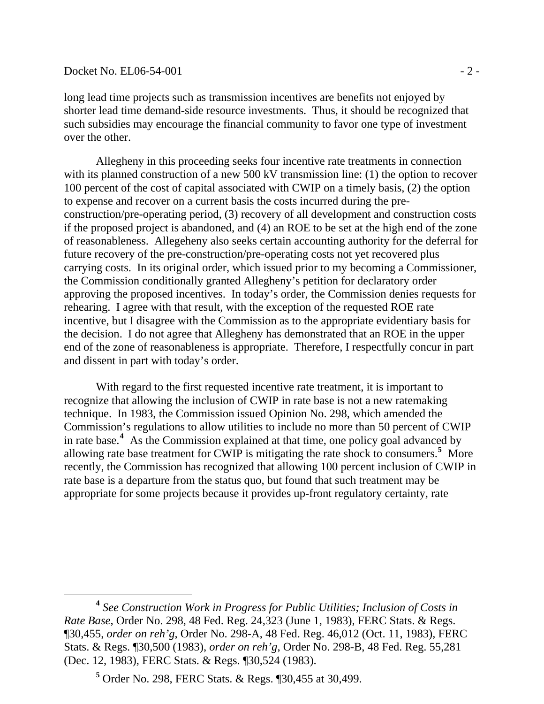#### $Dacket No. EL06-54-001$   $-2$  -

 $\overline{a}$ 

long lead time projects such as transmission incentives are benefits not enjoyed by shorter lead time demand-side resource investments. Thus, it should be recognized that such subsidies may encourage the financial community to favor one type of investment over the other.

Allegheny in this proceeding seeks four incentive rate treatments in connection with its planned construction of a new 500 kV transmission line: (1) the option to recover 100 percent of the cost of capital associated with CWIP on a timely basis, (2) the option to expense and recover on a current basis the costs incurred during the preconstruction/pre-operating period, (3) recovery of all development and construction costs if the proposed project is abandoned, and (4) an ROE to be set at the high end of the zone of reasonableness. Allegeheny also seeks certain accounting authority for the deferral for future recovery of the pre-construction/pre-operating costs not yet recovered plus carrying costs. In its original order, which issued prior to my becoming a Commissioner, the Commission conditionally granted Allegheny's petition for declaratory order approving the proposed incentives. In today's order, the Commission denies requests for rehearing. I agree with that result, with the exception of the requested ROE rate incentive, but I disagree with the Commission as to the appropriate evidentiary basis for the decision. I do not agree that Allegheny has demonstrated that an ROE in the upper end of the zone of reasonableness is appropriate. Therefore, I respectfully concur in part and dissent in part with today's order.

 With regard to the first requested incentive rate treatment, it is important to recognize that allowing the inclusion of CWIP in rate base is not a new ratemaking technique. In 1983, the Commission issued Opinion No. 298, which amended the Commission's regulations to allow utilities to include no more than 50 percent of CWIP in rate base.**[4](#page-21-0)** As the Commission explained at that time, one policy goal advanced by allowing rate base treatment for CWIP is mitigating the rate shock to consumers.<sup>[5](#page-21-1)</sup> More recently, the Commission has recognized that allowing 100 percent inclusion of CWIP in rate base is a departure from the status quo, but found that such treatment may be appropriate for some projects because it provides up-front regulatory certainty, rate

<span id="page-21-0"></span>**<sup>4</sup>** *See Construction Work in Progress for Public Utilities; Inclusion of Costs in Rate Base*, Order No. 298, 48 Fed. Reg. 24,323 (June 1, 1983), FERC Stats. & Regs. ¶30,455, *order on reh'g*, Order No. 298-A, 48 Fed. Reg. 46,012 (Oct. 11, 1983), FERC Stats. & Regs. ¶30,500 (1983), *order on reh'g*, Order No. 298-B, 48 Fed. Reg. 55,281 (Dec. 12, 1983), FERC Stats. & Regs. ¶30,524 (1983).

<span id="page-21-1"></span>**<sup>5</sup>** Order No. 298, FERC Stats. & Regs. ¶30,455 at 30,499.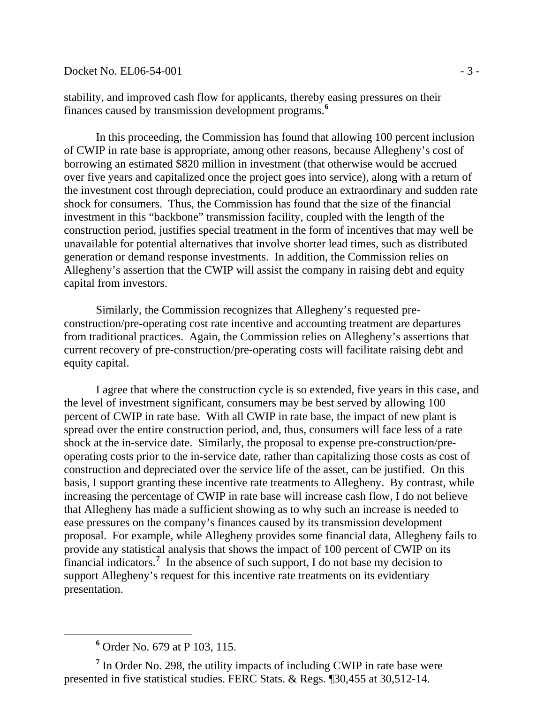### Docket No. EL06-54-001 - 3 -

stability, and improved cash flow for applicants, thereby easing pressures on their finances caused by transmission development programs.**[6](#page-22-0)**

In this proceeding, the Commission has found that allowing 100 percent inclusion of CWIP in rate base is appropriate, among other reasons, because Allegheny's cost of borrowing an estimated \$820 million in investment (that otherwise would be accrued over five years and capitalized once the project goes into service), along with a return of the investment cost through depreciation, could produce an extraordinary and sudden rate shock for consumers. Thus, the Commission has found that the size of the financial investment in this "backbone" transmission facility, coupled with the length of the construction period, justifies special treatment in the form of incentives that may well be unavailable for potential alternatives that involve shorter lead times, such as distributed generation or demand response investments. In addition, the Commission relies on Allegheny's assertion that the CWIP will assist the company in raising debt and equity capital from investors.

Similarly, the Commission recognizes that Allegheny's requested preconstruction/pre-operating cost rate incentive and accounting treatment are departures from traditional practices. Again, the Commission relies on Allegheny's assertions that current recovery of pre-construction/pre-operating costs will facilitate raising debt and equity capital.

I agree that where the construction cycle is so extended, five years in this case, and the level of investment significant, consumers may be best served by allowing 100 percent of CWIP in rate base. With all CWIP in rate base, the impact of new plant is spread over the entire construction period, and, thus, consumers will face less of a rate shock at the in-service date. Similarly, the proposal to expense pre-construction/preoperating costs prior to the in-service date, rather than capitalizing those costs as cost of construction and depreciated over the service life of the asset, can be justified. On this basis, I support granting these incentive rate treatments to Allegheny. By contrast, while increasing the percentage of CWIP in rate base will increase cash flow, I do not believe that Allegheny has made a sufficient showing as to why such an increase is needed to ease pressures on the company's finances caused by its transmission development proposal. For example, while Allegheny provides some financial data, Allegheny fails to provide any statistical analysis that shows the impact of 100 percent of CWIP on its financial indicators.<sup>[7](#page-22-1)</sup> In the absence of such support, I do not base my decision to support Allegheny's request for this incentive rate treatments on its evidentiary presentation.

 $\overline{a}$ 

**<sup>6</sup>** Order No. 679 at P 103, 115.

<span id="page-22-1"></span><span id="page-22-0"></span><sup>&</sup>lt;sup>7</sup> In Order No. 298, the utility impacts of including CWIP in rate base were presented in five statistical studies. FERC Stats. & Regs. ¶30,455 at 30,512-14.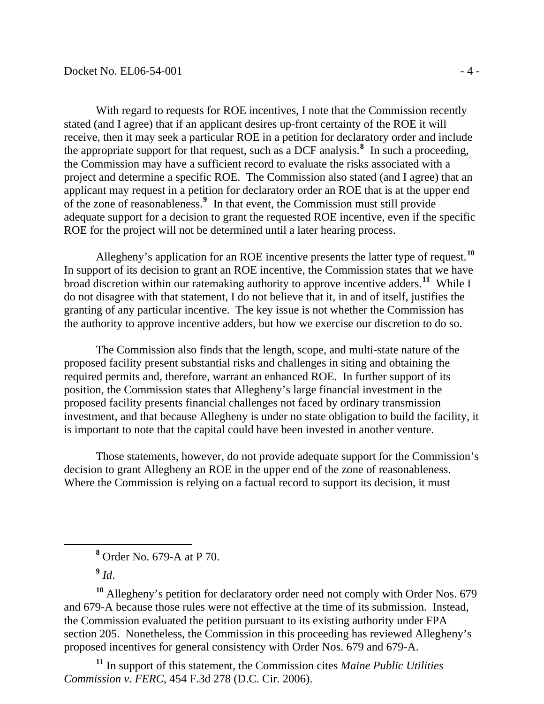With regard to requests for ROE incentives, I note that the Commission recently stated (and I agree) that if an applicant desires up-front certainty of the ROE it will receive, then it may seek a particular ROE in a petition for declaratory order and include the appropriate support for that request, such as a DCF analysis.**[8](#page-23-0)** In such a proceeding, the Commission may have a sufficient record to evaluate the risks associated with a project and determine a specific ROE. The Commission also stated (and I agree) that an applicant may request in a petition for declaratory order an ROE that is at the upper end of the zone of reasonableness.**[9](#page-23-1)** In that event, the Commission must still provide adequate support for a decision to grant the requested ROE incentive, even if the specific ROE for the project will not be determined until a later hearing process.

Allegheny's application for an ROE incentive presents the latter type of request.**[10](#page-23-2)** In support of its decision to grant an ROE incentive, the Commission states that we have broad discretion within our ratemaking authority to approve incentive adders.**[11](#page-23-3)** While I do not disagree with that statement, I do not believe that it, in and of itself, justifies the granting of any particular incentive. The key issue is not whether the Commission has the authority to approve incentive adders, but how we exercise our discretion to do so.

The Commission also finds that the length, scope, and multi-state nature of the proposed facility present substantial risks and challenges in siting and obtaining the required permits and, therefore, warrant an enhanced ROE. In further support of its position, the Commission states that Allegheny's large financial investment in the proposed facility presents financial challenges not faced by ordinary transmission investment, and that because Allegheny is under no state obligation to build the facility, it is important to note that the capital could have been invested in another venture.

Those statements, however, do not provide adequate support for the Commission's decision to grant Allegheny an ROE in the upper end of the zone of reasonableness. Where the Commission is relying on a factual record to support its decision, it must

**<sup>9</sup>** *Id*.

<span id="page-23-0"></span>

<span id="page-23-2"></span><span id="page-23-1"></span>**<sup>10</sup>** Allegheny's petition for declaratory order need not comply with Order Nos. 679 and 679-A because those rules were not effective at the time of its submission. Instead, the Commission evaluated the petition pursuant to its existing authority under FPA section 205. Nonetheless, the Commission in this proceeding has reviewed Allegheny's proposed incentives for general consistency with Order Nos. 679 and 679-A.

<span id="page-23-3"></span>**<sup>11</sup>** In support of this statement, the Commission cites *Maine Public Utilities Commission v. FERC*, 454 F.3d 278 (D.C. Cir. 2006).

**<sup>8</sup>** Order No. 679-A at P 70.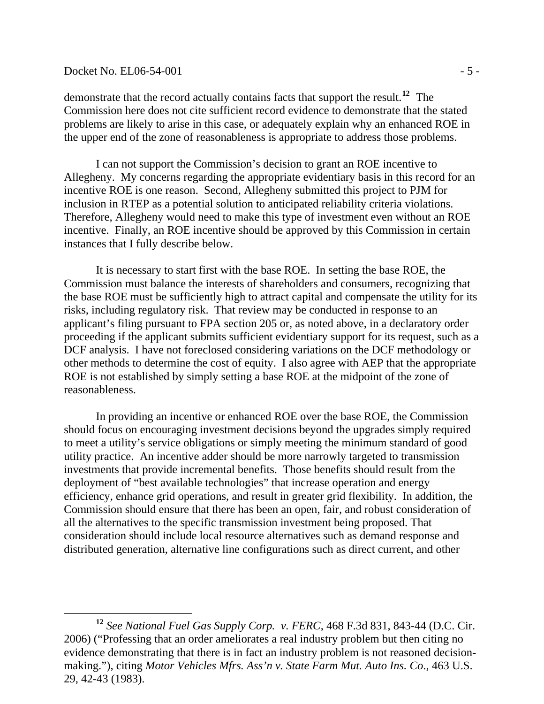#### $Docket No. EL06-54-001$  - 5 -

 $\overline{a}$ 

demonstrate that the record actually contains facts that support the result.**[12](#page-24-0)** The Commission here does not cite sufficient record evidence to demonstrate that the stated problems are likely to arise in this case, or adequately explain why an enhanced ROE in the upper end of the zone of reasonableness is appropriate to address those problems.

I can not support the Commission's decision to grant an ROE incentive to Allegheny. My concerns regarding the appropriate evidentiary basis in this record for an incentive ROE is one reason. Second, Allegheny submitted this project to PJM for inclusion in RTEP as a potential solution to anticipated reliability criteria violations. Therefore, Allegheny would need to make this type of investment even without an ROE incentive. Finally, an ROE incentive should be approved by this Commission in certain instances that I fully describe below.

It is necessary to start first with the base ROE. In setting the base ROE, the Commission must balance the interests of shareholders and consumers, recognizing that the base ROE must be sufficiently high to attract capital and compensate the utility for its risks, including regulatory risk. That review may be conducted in response to an applicant's filing pursuant to FPA section 205 or, as noted above, in a declaratory order proceeding if the applicant submits sufficient evidentiary support for its request, such as a DCF analysis. I have not foreclosed considering variations on the DCF methodology or other methods to determine the cost of equity. I also agree with AEP that the appropriate ROE is not established by simply setting a base ROE at the midpoint of the zone of reasonableness.

In providing an incentive or enhanced ROE over the base ROE, the Commission should focus on encouraging investment decisions beyond the upgrades simply required to meet a utility's service obligations or simply meeting the minimum standard of good utility practice. An incentive adder should be more narrowly targeted to transmission investments that provide incremental benefits. Those benefits should result from the deployment of "best available technologies" that increase operation and energy efficiency, enhance grid operations, and result in greater grid flexibility. In addition, the Commission should ensure that there has been an open, fair, and robust consideration of all the alternatives to the specific transmission investment being proposed. That consideration should include local resource alternatives such as demand response and distributed generation, alternative line configurations such as direct current, and other

<span id="page-24-0"></span>**<sup>12</sup>** *See National Fuel Gas Supply Corp. v. FERC*, 468 F.3d 831, 843-44 (D.C. Cir. 2006) ("Professing that an order ameliorates a real industry problem but then citing no evidence demonstrating that there is in fact an industry problem is not reasoned decisionmaking."), citing *Motor Vehicles Mfrs. Ass'n v. State Farm Mut. Auto Ins. Co*., 463 U.S. 29, 42-43 (1983).